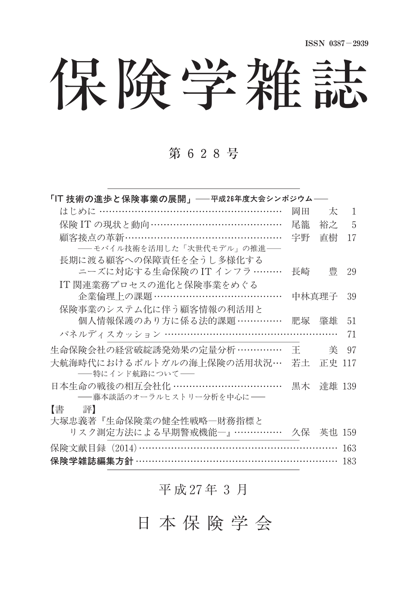保険学雑誌

### 第 628号

| 「IT 技術の進歩と保険事業の展開」──平成26年度大会シンポジウム──                              |    |        |    |
|-------------------------------------------------------------------|----|--------|----|
| はじめに …………………………………………………                                          | 岡田 | 太      | 1  |
| 保険 IT の現状と動向 ……………………………………                                       | 尾籠 | 裕之     | 5  |
| 顧客接点の革新…………………………………………                                           | 字野 | 直樹     | 17 |
| ―― モバイル技術を活用した「次世代モデル」の推進――                                       |    |        |    |
| 長期に渡る顧客への保障責任を全うし多様化する                                            |    |        |    |
| ニーズに対応する生命保険のIT インフラ ………                                          | 長崎 | 豊      | 29 |
| IT 関連業務プロセスの進化と保険事業をめぐる                                           |    |        |    |
| 企業倫理上の課題 …………………………………                                            |    | 中林真理子  | 39 |
| 保険事業のシステム化に伴う顧客情報の利活用と                                            |    |        |    |
| 個人情報保護のあり方に係る法的課題……………                                            | 肥塚 | 肇雄     | 51 |
| パネルディスカッション ………………………………………………                                    |    |        | 71 |
| 生命保険会社の経営破綻誘発効果の定量分析 ……………                                        | 王  | 美      | 97 |
| 大航海時代におけるポルトガルの海上保険の活用状況…                                         | 若土 | 正史 117 |    |
| ――特にインド航路について――                                                   |    |        |    |
| 日本生命の戦後の相互会社化 ……………………………                                         | 黒木 | 達雄 139 |    |
|                                                                   |    |        |    |
|                                                                   |    |        |    |
| ――藤本談話のオーラルヒストリー分析を中心に――<br>【書】<br>評】<br>→ 場申義孝『庄会倶除業の健会性齢略—財務指揮を |    |        |    |

| 7N XIV DI HAMIDI I DILLEHE KUNI ALAH YANG TELELEH TAMIDI YANG DILIMIN DILLEHEN DILLEHEN DILLEHEN DILLEHEN DILL<br>リスク測定方法による早期警戒機能一』…………… 久保 英也 159 |  |  |
|-----------------------------------------------------------------------------------------------------------------------------------------------------|--|--|
| 保険文献目録 (2014) …………………………………………………… 163                                                                                                              |  |  |
| 保険学雑誌編集方針 ……………………………………………………… 183                                                                                                                 |  |  |

#### 平 成 27年 3 月

### 日 本 保 険 学 会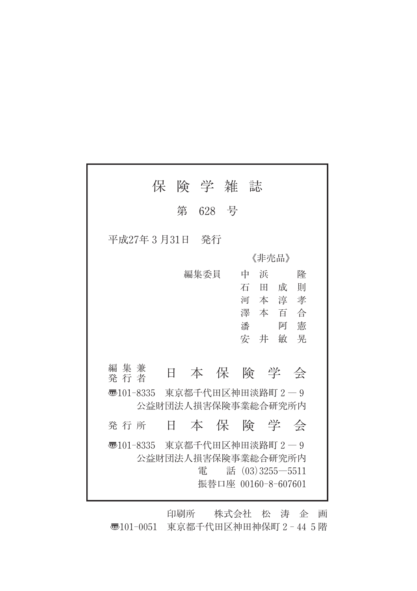|                             | 保 | 険 学 雑 誌                 |                  |                     |
|-----------------------------|---|-------------------------|------------------|---------------------|
|                             |   | 第 628 号                 |                  |                     |
| 平成27年3月31日                  |   | - 発行                    |                  |                     |
|                             |   |                         | 《非壳品》            |                     |
|                             |   | 編集委員                    | 浜<br>中           | 降                   |
|                             |   |                         | 石<br>$\mathbb H$ | 則<br>成              |
|                             |   |                         | 河本淳              | 孝                   |
|                             |   |                         | 澤 本 百            | 合                   |
|                             |   |                         | 潘                | 憲<br>阿              |
|                             |   |                         | 安 井              | 晃<br>敏              |
|                             |   |                         |                  |                     |
| 編集兼<br>発 行 者                | E |                         |                  | 本保険学会               |
| ক্ত101-8335                 |   | 東京都千代田区神田淡路町 2-9        |                  |                     |
|                             |   | 公益財団法人損害保険事業総合研究所内      |                  |                     |
| 発行所                         | Ħ |                         |                  | 本保険学会               |
| न्5101-8335 東京都千代田区神田淡路町2-9 |   | 公益財団法人損害保険事業総合研究所内<br>雷 |                  | 話 $(03)3255 - 5511$ |
|                             |   |                         |                  | 振替口座 00160-8-607601 |

印刷所 株式会社 松 涛 企 画 〠101-0051 東京都千代田区神田神保町2-445階